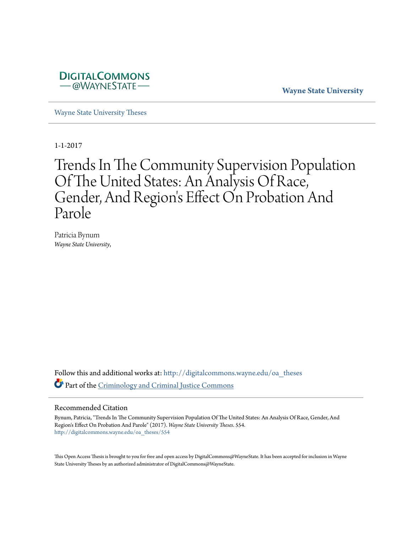

**Wayne State University**

[Wayne State University Theses](http://digitalcommons.wayne.edu/oa_theses?utm_source=digitalcommons.wayne.edu%2Foa_theses%2F554&utm_medium=PDF&utm_campaign=PDFCoverPages)

1-1-2017

# Trends In The Community Supervision Population Of The United States: An Analysis Of Race, Gender, And Region's Effect On Probation And Parole

Patricia Bynum *Wayne State University*,

Follow this and additional works at: [http://digitalcommons.wayne.edu/oa\\_theses](http://digitalcommons.wayne.edu/oa_theses?utm_source=digitalcommons.wayne.edu%2Foa_theses%2F554&utm_medium=PDF&utm_campaign=PDFCoverPages) Part of the [Criminology and Criminal Justice Commons](http://network.bepress.com/hgg/discipline/367?utm_source=digitalcommons.wayne.edu%2Foa_theses%2F554&utm_medium=PDF&utm_campaign=PDFCoverPages)

#### Recommended Citation

Bynum, Patricia, "Trends In The Community Supervision Population Of The United States: An Analysis Of Race, Gender, And Region's Effect On Probation And Parole" (2017). *Wayne State University Theses*. 554. [http://digitalcommons.wayne.edu/oa\\_theses/554](http://digitalcommons.wayne.edu/oa_theses/554?utm_source=digitalcommons.wayne.edu%2Foa_theses%2F554&utm_medium=PDF&utm_campaign=PDFCoverPages)

This Open Access Thesis is brought to you for free and open access by DigitalCommons@WayneState. It has been accepted for inclusion in Wayne State University Theses by an authorized administrator of DigitalCommons@WayneState.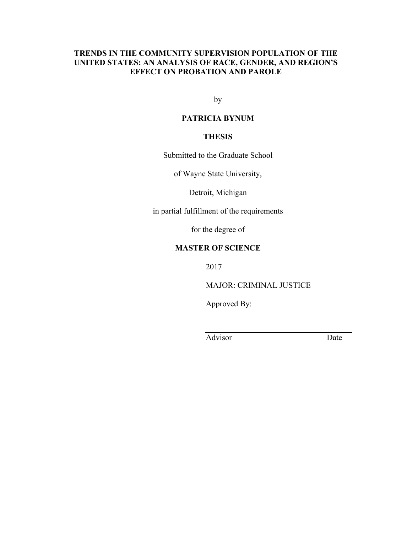# **TRENDS IN THE COMMUNITY SUPERVISION POPULATION OF THE UNITED STATES: AN ANALYSIS OF RACE, GENDER, AND REGION'S EFFECT ON PROBATION AND PAROLE**

by

# **PATRICIA BYNUM**

# **THESIS**

Submitted to the Graduate School

of Wayne State University,

Detroit, Michigan

in partial fulfillment of the requirements

for the degree of

# **MASTER OF SCIENCE**

2017

MAJOR: CRIMINAL JUSTICE

Approved By:

Advisor Date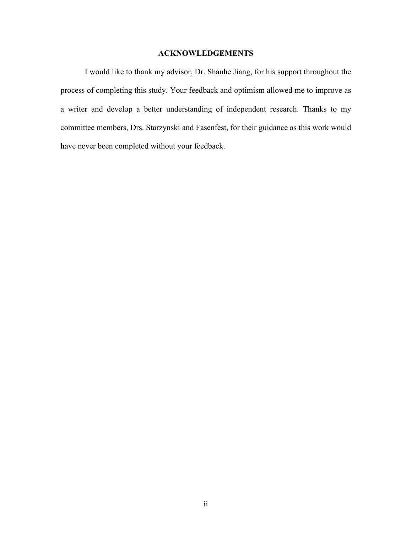# **ACKNOWLEDGEMENTS**

I would like to thank my advisor, Dr. Shanhe Jiang, for his support throughout the process of completing this study. Your feedback and optimism allowed me to improve as a writer and develop a better understanding of independent research. Thanks to my committee members, Drs. Starzynski and Fasenfest, for their guidance as this work would have never been completed without your feedback.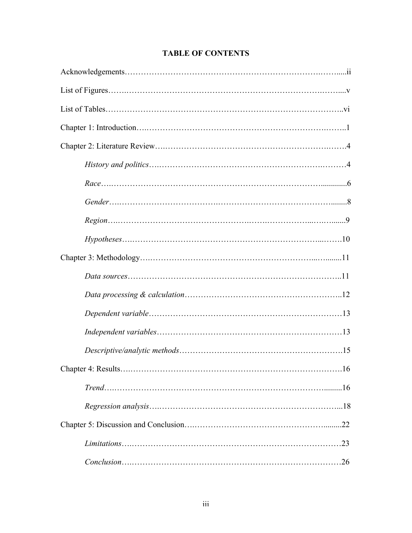# **TABLE OF CONTENTS**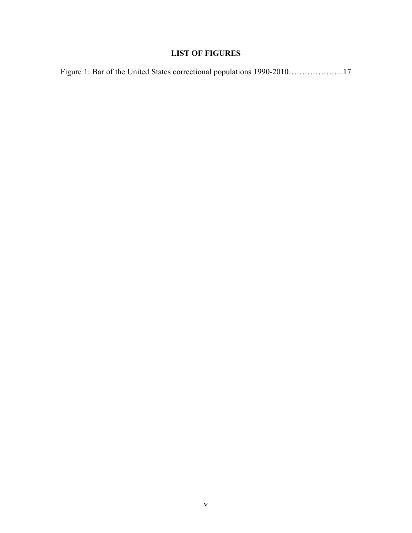# **LIST OF FIGURES**

|  |  |  |  |  | Figure 1: Bar of the United States correctional populations 1990-201017 |  |
|--|--|--|--|--|-------------------------------------------------------------------------|--|
|--|--|--|--|--|-------------------------------------------------------------------------|--|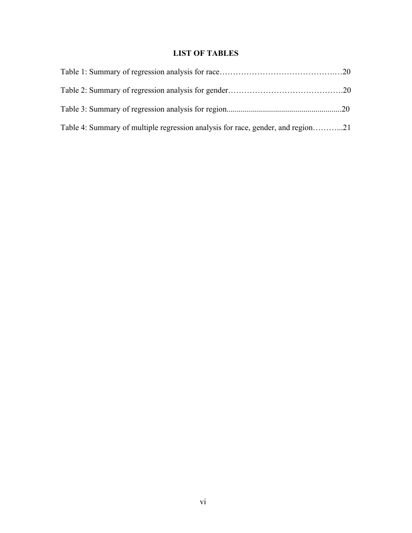# **LIST OF TABLES**

| Table 4: Summary of multiple regression analysis for race, gender, and region21 |  |
|---------------------------------------------------------------------------------|--|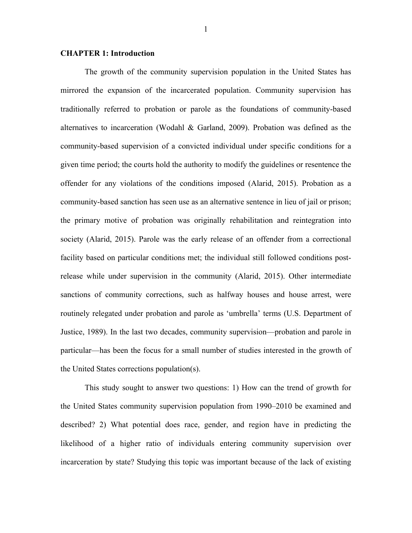#### **CHAPTER 1: Introduction**

The growth of the community supervision population in the United States has mirrored the expansion of the incarcerated population. Community supervision has traditionally referred to probation or parole as the foundations of community-based alternatives to incarceration (Wodahl & Garland, 2009). Probation was defined as the community-based supervision of a convicted individual under specific conditions for a given time period; the courts hold the authority to modify the guidelines or resentence the offender for any violations of the conditions imposed (Alarid, 2015). Probation as a community-based sanction has seen use as an alternative sentence in lieu of jail or prison; the primary motive of probation was originally rehabilitation and reintegration into society (Alarid, 2015). Parole was the early release of an offender from a correctional facility based on particular conditions met; the individual still followed conditions postrelease while under supervision in the community (Alarid, 2015). Other intermediate sanctions of community corrections, such as halfway houses and house arrest, were routinely relegated under probation and parole as 'umbrella' terms (U.S. Department of Justice, 1989). In the last two decades, community supervision—probation and parole in particular—has been the focus for a small number of studies interested in the growth of the United States corrections population(s).

This study sought to answer two questions: 1) How can the trend of growth for the United States community supervision population from 1990–2010 be examined and described? 2) What potential does race, gender, and region have in predicting the likelihood of a higher ratio of individuals entering community supervision over incarceration by state? Studying this topic was important because of the lack of existing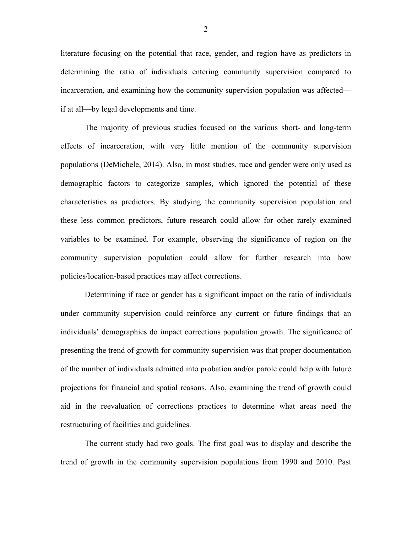literature focusing on the potential that race, gender, and region have as predictors in determining the ratio of individuals entering community supervision compared to incarceration, and examining how the community supervision population was affected if at all—by legal developments and time.

The majority of previous studies focused on the various short- and long-term effects of incarceration, with very little mention of the community supervision populations (DeMichele, 2014). Also, in most studies, race and gender were only used as demographic factors to categorize samples, which ignored the potential of these characteristics as predictors. By studying the community supervision population and these less common predictors, future research could allow for other rarely examined variables to be examined. For example, observing the significance of region on the community supervision population could allow for further research into how policies/location-based practices may affect corrections.

Determining if race or gender has a significant impact on the ratio of individuals under community supervision could reinforce any current or future findings that an individuals' demographics do impact corrections population growth. The significance of presenting the trend of growth for community supervision was that proper documentation of the number of individuals admitted into probation and/or parole could help with future projections for financial and spatial reasons. Also, examining the trend of growth could aid in the reevaluation of corrections practices to determine what areas need the restructuring of facilities and guidelines.

The current study had two goals. The first goal was to display and describe the trend of growth in the community supervision populations from 1990 and 2010. Past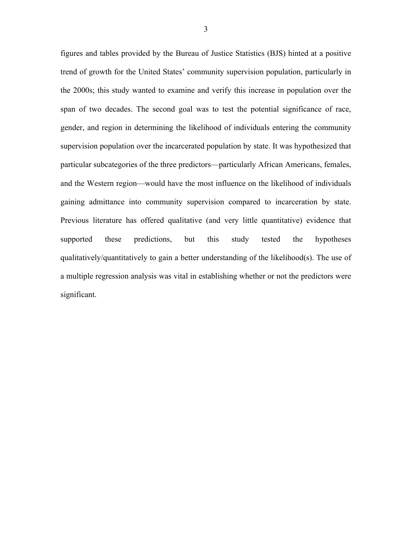figures and tables provided by the Bureau of Justice Statistics (BJS) hinted at a positive trend of growth for the United States' community supervision population, particularly in the 2000s; this study wanted to examine and verify this increase in population over the span of two decades. The second goal was to test the potential significance of race, gender, and region in determining the likelihood of individuals entering the community supervision population over the incarcerated population by state. It was hypothesized that particular subcategories of the three predictors—particularly African Americans, females, and the Western region—would have the most influence on the likelihood of individuals gaining admittance into community supervision compared to incarceration by state. Previous literature has offered qualitative (and very little quantitative) evidence that supported these predictions, but this study tested the hypotheses qualitatively/quantitatively to gain a better understanding of the likelihood(s). The use of a multiple regression analysis was vital in establishing whether or not the predictors were significant.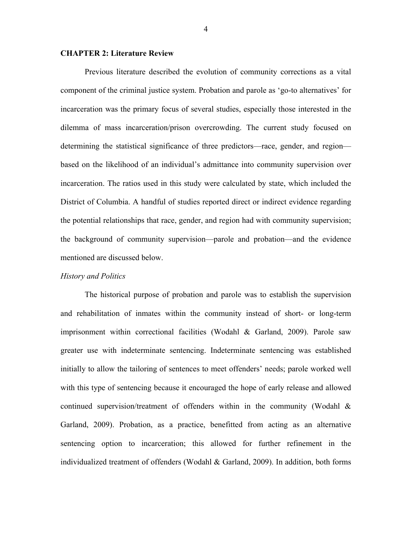#### **CHAPTER 2: Literature Review**

Previous literature described the evolution of community corrections as a vital component of the criminal justice system. Probation and parole as 'go-to alternatives' for incarceration was the primary focus of several studies, especially those interested in the dilemma of mass incarceration/prison overcrowding. The current study focused on determining the statistical significance of three predictors—race, gender, and region based on the likelihood of an individual's admittance into community supervision over incarceration. The ratios used in this study were calculated by state, which included the District of Columbia. A handful of studies reported direct or indirect evidence regarding the potential relationships that race, gender, and region had with community supervision; the background of community supervision—parole and probation—and the evidence mentioned are discussed below.

#### *History and Politics*

The historical purpose of probation and parole was to establish the supervision and rehabilitation of inmates within the community instead of short- or long-term imprisonment within correctional facilities (Wodahl & Garland, 2009). Parole saw greater use with indeterminate sentencing. Indeterminate sentencing was established initially to allow the tailoring of sentences to meet offenders' needs; parole worked well with this type of sentencing because it encouraged the hope of early release and allowed continued supervision/treatment of offenders within in the community (Wodahl & Garland, 2009). Probation, as a practice, benefitted from acting as an alternative sentencing option to incarceration; this allowed for further refinement in the individualized treatment of offenders (Wodahl & Garland, 2009). In addition, both forms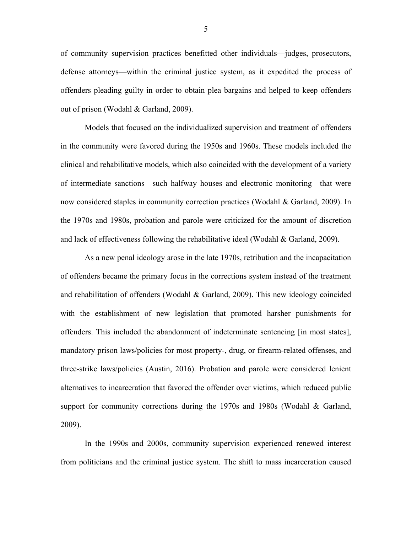of community supervision practices benefitted other individuals—judges, prosecutors, defense attorneys—within the criminal justice system, as it expedited the process of offenders pleading guilty in order to obtain plea bargains and helped to keep offenders out of prison (Wodahl & Garland, 2009).

Models that focused on the individualized supervision and treatment of offenders in the community were favored during the 1950s and 1960s. These models included the clinical and rehabilitative models, which also coincided with the development of a variety of intermediate sanctions—such halfway houses and electronic monitoring—that were now considered staples in community correction practices (Wodahl & Garland, 2009). In the 1970s and 1980s, probation and parole were criticized for the amount of discretion and lack of effectiveness following the rehabilitative ideal (Wodahl  $\&$  Garland, 2009).

As a new penal ideology arose in the late 1970s, retribution and the incapacitation of offenders became the primary focus in the corrections system instead of the treatment and rehabilitation of offenders (Wodahl & Garland, 2009). This new ideology coincided with the establishment of new legislation that promoted harsher punishments for offenders. This included the abandonment of indeterminate sentencing [in most states], mandatory prison laws/policies for most property-, drug, or firearm-related offenses, and three-strike laws/policies (Austin, 2016). Probation and parole were considered lenient alternatives to incarceration that favored the offender over victims, which reduced public support for community corrections during the 1970s and 1980s (Wodahl  $\&$  Garland, 2009).

In the 1990s and 2000s, community supervision experienced renewed interest from politicians and the criminal justice system. The shift to mass incarceration caused

5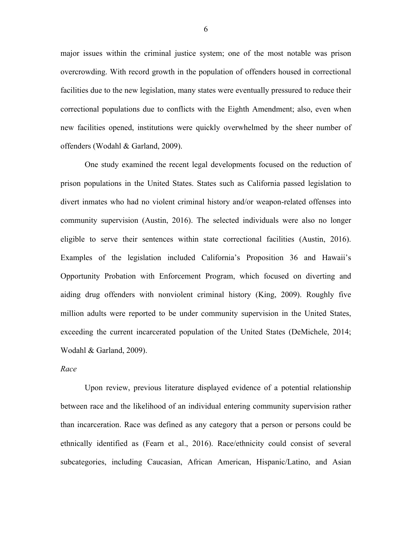major issues within the criminal justice system; one of the most notable was prison overcrowding. With record growth in the population of offenders housed in correctional facilities due to the new legislation, many states were eventually pressured to reduce their correctional populations due to conflicts with the Eighth Amendment; also, even when new facilities opened, institutions were quickly overwhelmed by the sheer number of offenders (Wodahl & Garland, 2009).

One study examined the recent legal developments focused on the reduction of prison populations in the United States. States such as California passed legislation to divert inmates who had no violent criminal history and/or weapon-related offenses into community supervision (Austin, 2016). The selected individuals were also no longer eligible to serve their sentences within state correctional facilities (Austin, 2016). Examples of the legislation included California's Proposition 36 and Hawaii's Opportunity Probation with Enforcement Program, which focused on diverting and aiding drug offenders with nonviolent criminal history (King, 2009). Roughly five million adults were reported to be under community supervision in the United States, exceeding the current incarcerated population of the United States (DeMichele, 2014; Wodahl & Garland, 2009).

#### *Race*

Upon review, previous literature displayed evidence of a potential relationship between race and the likelihood of an individual entering community supervision rather than incarceration. Race was defined as any category that a person or persons could be ethnically identified as (Fearn et al., 2016). Race/ethnicity could consist of several subcategories, including Caucasian, African American, Hispanic/Latino, and Asian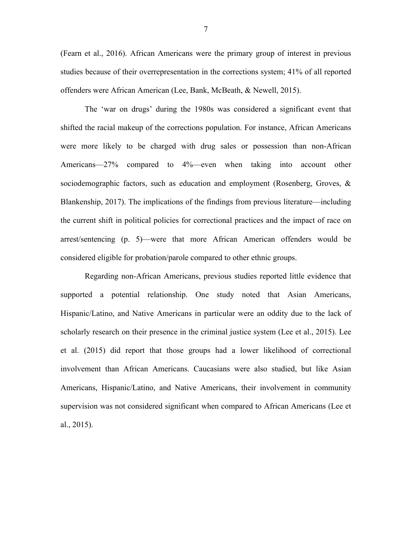(Fearn et al., 2016). African Americans were the primary group of interest in previous studies because of their overrepresentation in the corrections system; 41% of all reported offenders were African American (Lee, Bank, McBeath, & Newell, 2015).

The 'war on drugs' during the 1980s was considered a significant event that shifted the racial makeup of the corrections population. For instance, African Americans were more likely to be charged with drug sales or possession than non-African Americans—27% compared to 4%—even when taking into account other sociodemographic factors, such as education and employment (Rosenberg, Groves, & Blankenship, 2017). The implications of the findings from previous literature—including the current shift in political policies for correctional practices and the impact of race on arrest/sentencing (p. 5)—were that more African American offenders would be considered eligible for probation/parole compared to other ethnic groups.

Regarding non-African Americans, previous studies reported little evidence that supported a potential relationship. One study noted that Asian Americans, Hispanic/Latino, and Native Americans in particular were an oddity due to the lack of scholarly research on their presence in the criminal justice system (Lee et al., 2015). Lee et al. (2015) did report that those groups had a lower likelihood of correctional involvement than African Americans. Caucasians were also studied, but like Asian Americans, Hispanic/Latino, and Native Americans, their involvement in community supervision was not considered significant when compared to African Americans (Lee et al., 2015).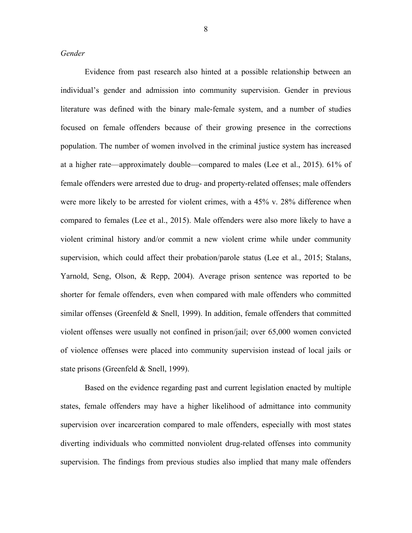*Gender*

Evidence from past research also hinted at a possible relationship between an individual's gender and admission into community supervision. Gender in previous literature was defined with the binary male-female system, and a number of studies focused on female offenders because of their growing presence in the corrections population. The number of women involved in the criminal justice system has increased at a higher rate—approximately double—compared to males (Lee et al., 2015). 61% of female offenders were arrested due to drug- and property-related offenses; male offenders were more likely to be arrested for violent crimes, with a 45% v. 28% difference when compared to females (Lee et al., 2015). Male offenders were also more likely to have a violent criminal history and/or commit a new violent crime while under community supervision, which could affect their probation/parole status (Lee et al., 2015; Stalans, Yarnold, Seng, Olson, & Repp, 2004). Average prison sentence was reported to be shorter for female offenders, even when compared with male offenders who committed similar offenses (Greenfeld & Snell, 1999). In addition, female offenders that committed violent offenses were usually not confined in prison/jail; over 65,000 women convicted of violence offenses were placed into community supervision instead of local jails or state prisons (Greenfeld & Snell, 1999).

Based on the evidence regarding past and current legislation enacted by multiple states, female offenders may have a higher likelihood of admittance into community supervision over incarceration compared to male offenders, especially with most states diverting individuals who committed nonviolent drug-related offenses into community supervision. The findings from previous studies also implied that many male offenders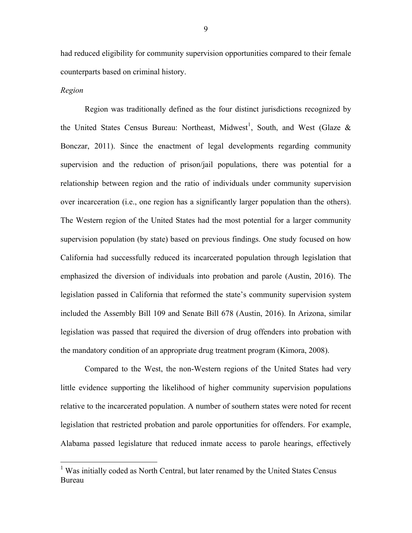had reduced eligibility for community supervision opportunities compared to their female counterparts based on criminal history.

#### *Region*

Region was traditionally defined as the four distinct jurisdictions recognized by the United States Census Bureau: Northeast, Midwest<sup>1</sup>, South, and West (Glaze & Bonczar, 2011). Since the enactment of legal developments regarding community supervision and the reduction of prison/jail populations, there was potential for a relationship between region and the ratio of individuals under community supervision over incarceration (i.e., one region has a significantly larger population than the others). The Western region of the United States had the most potential for a larger community supervision population (by state) based on previous findings. One study focused on how California had successfully reduced its incarcerated population through legislation that emphasized the diversion of individuals into probation and parole (Austin, 2016). The legislation passed in California that reformed the state's community supervision system included the Assembly Bill 109 and Senate Bill 678 (Austin, 2016). In Arizona, similar legislation was passed that required the diversion of drug offenders into probation with the mandatory condition of an appropriate drug treatment program (Kimora, 2008).

Compared to the West, the non-Western regions of the United States had very little evidence supporting the likelihood of higher community supervision populations relative to the incarcerated population. A number of southern states were noted for recent legislation that restricted probation and parole opportunities for offenders. For example, Alabama passed legislature that reduced inmate access to parole hearings, effectively

<sup>&</sup>lt;sup>1</sup> Was initially coded as North Central, but later renamed by the United States Census Bureau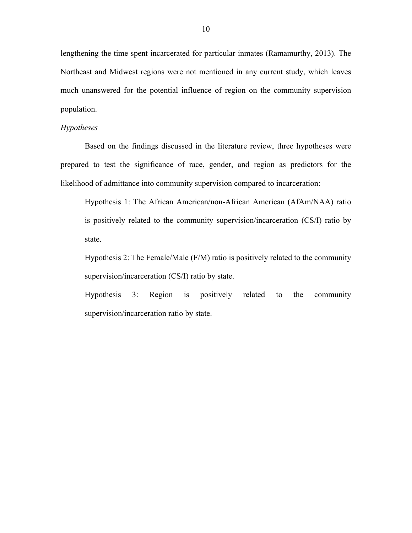lengthening the time spent incarcerated for particular inmates (Ramamurthy, 2013). The Northeast and Midwest regions were not mentioned in any current study, which leaves much unanswered for the potential influence of region on the community supervision population.

# *Hypotheses*

Based on the findings discussed in the literature review, three hypotheses were prepared to test the significance of race, gender, and region as predictors for the likelihood of admittance into community supervision compared to incarceration:

Hypothesis 1: The African American/non-African American (AfAm/NAA) ratio is positively related to the community supervision/incarceration (CS/I) ratio by state.

Hypothesis 2: The Female/Male (F/M) ratio is positively related to the community supervision/incarceration (CS/I) ratio by state.

Hypothesis 3: Region is positively related to the community supervision/incarceration ratio by state.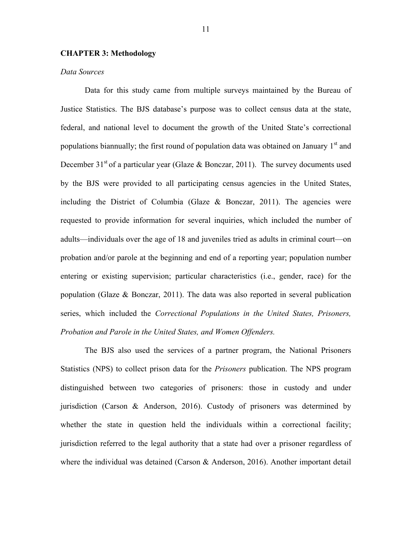## **CHAPTER 3: Methodology**

#### *Data Sources*

Data for this study came from multiple surveys maintained by the Bureau of Justice Statistics. The BJS database's purpose was to collect census data at the state, federal, and national level to document the growth of the United State's correctional populations biannually; the first round of population data was obtained on January  $1<sup>st</sup>$  and December 31<sup>st</sup> of a particular year (Glaze & Bonczar, 2011). The survey documents used by the BJS were provided to all participating census agencies in the United States, including the District of Columbia (Glaze  $\&$  Bonczar, 2011). The agencies were requested to provide information for several inquiries, which included the number of adults—individuals over the age of 18 and juveniles tried as adults in criminal court—on probation and/or parole at the beginning and end of a reporting year; population number entering or existing supervision; particular characteristics (i.e., gender, race) for the population (Glaze & Bonczar, 2011). The data was also reported in several publication series, which included the *Correctional Populations in the United States, Prisoners, Probation and Parole in the United States, and Women Offenders.*

The BJS also used the services of a partner program, the National Prisoners Statistics (NPS) to collect prison data for the *Prisoners* publication. The NPS program distinguished between two categories of prisoners: those in custody and under jurisdiction (Carson & Anderson, 2016). Custody of prisoners was determined by whether the state in question held the individuals within a correctional facility; jurisdiction referred to the legal authority that a state had over a prisoner regardless of where the individual was detained (Carson & Anderson, 2016). Another important detail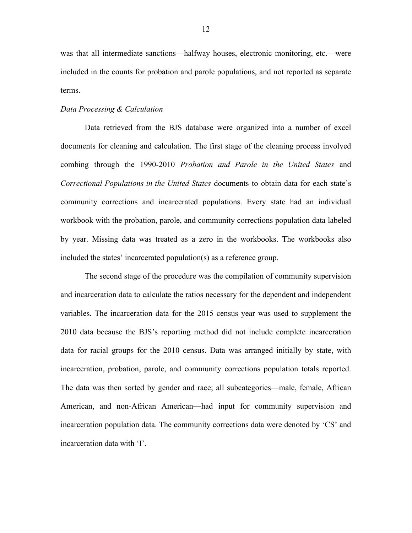was that all intermediate sanctions—halfway houses, electronic monitoring, etc.—were included in the counts for probation and parole populations, and not reported as separate terms.

#### *Data Processing & Calculation*

Data retrieved from the BJS database were organized into a number of excel documents for cleaning and calculation. The first stage of the cleaning process involved combing through the 1990-2010 *Probation and Parole in the United States* and *Correctional Populations in the United States* documents to obtain data for each state's community corrections and incarcerated populations. Every state had an individual workbook with the probation, parole, and community corrections population data labeled by year. Missing data was treated as a zero in the workbooks. The workbooks also included the states' incarcerated population(s) as a reference group.

The second stage of the procedure was the compilation of community supervision and incarceration data to calculate the ratios necessary for the dependent and independent variables. The incarceration data for the 2015 census year was used to supplement the 2010 data because the BJS's reporting method did not include complete incarceration data for racial groups for the 2010 census. Data was arranged initially by state, with incarceration, probation, parole, and community corrections population totals reported. The data was then sorted by gender and race; all subcategories—male, female, African American, and non-African American—had input for community supervision and incarceration population data. The community corrections data were denoted by 'CS' and incarceration data with 'I'.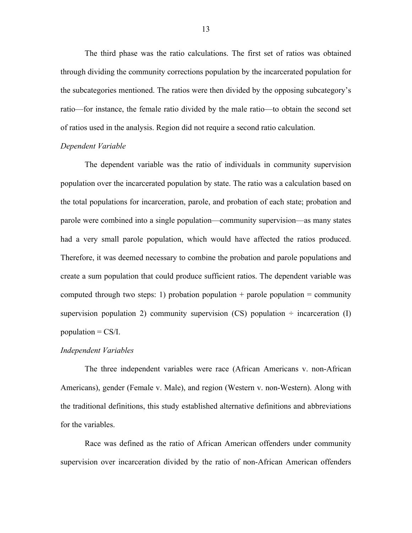The third phase was the ratio calculations. The first set of ratios was obtained through dividing the community corrections population by the incarcerated population for the subcategories mentioned. The ratios were then divided by the opposing subcategory's ratio—for instance, the female ratio divided by the male ratio—to obtain the second set of ratios used in the analysis. Region did not require a second ratio calculation.

#### *Dependent Variable*

The dependent variable was the ratio of individuals in community supervision population over the incarcerated population by state. The ratio was a calculation based on the total populations for incarceration, parole, and probation of each state; probation and parole were combined into a single population—community supervision—as many states had a very small parole population, which would have affected the ratios produced. Therefore, it was deemed necessary to combine the probation and parole populations and create a sum population that could produce sufficient ratios. The dependent variable was computed through two steps: 1) probation population  $+$  parole population  $=$  community supervision population 2) community supervision (CS) population  $\div$  incarceration (I) population  $=$  CS/I.

#### *Independent Variables*

The three independent variables were race (African Americans v. non-African Americans), gender (Female v. Male), and region (Western v. non-Western). Along with the traditional definitions, this study established alternative definitions and abbreviations for the variables.

Race was defined as the ratio of African American offenders under community supervision over incarceration divided by the ratio of non-African American offenders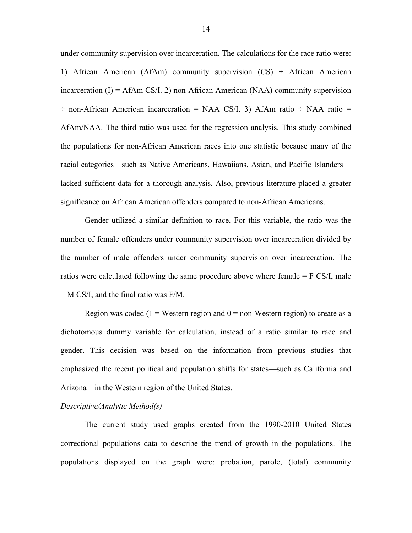under community supervision over incarceration. The calculations for the race ratio were: 1) African American (AfAm) community supervision  $(CS)$  ÷ African American incarceration  $(I) = AfAm \, CS/I$ . 2) non-African American (NAA) community supervision  $\div$  non-African American incarceration = NAA CS/I. 3) AfAm ratio  $\div$  NAA ratio = AfAm/NAA. The third ratio was used for the regression analysis. This study combined the populations for non-African American races into one statistic because many of the racial categories—such as Native Americans, Hawaiians, Asian, and Pacific Islanders lacked sufficient data for a thorough analysis. Also, previous literature placed a greater significance on African American offenders compared to non-African Americans.

Gender utilized a similar definition to race. For this variable, the ratio was the number of female offenders under community supervision over incarceration divided by the number of male offenders under community supervision over incarceration. The ratios were calculated following the same procedure above where female = F CS/I, male = M CS/I, and the final ratio was F/M.

Region was coded ( $1 =$  Western region and  $0 =$  non-Western region) to create as a dichotomous dummy variable for calculation, instead of a ratio similar to race and gender. This decision was based on the information from previous studies that emphasized the recent political and population shifts for states—such as California and Arizona—in the Western region of the United States.

#### *Descriptive/Analytic Method(s)*

The current study used graphs created from the 1990-2010 United States correctional populations data to describe the trend of growth in the populations. The populations displayed on the graph were: probation, parole, (total) community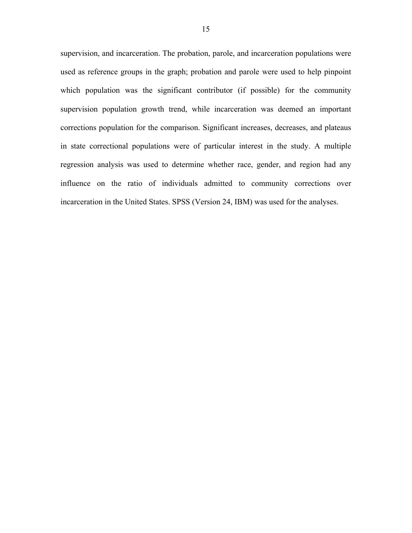supervision, and incarceration. The probation, parole, and incarceration populations were used as reference groups in the graph; probation and parole were used to help pinpoint which population was the significant contributor (if possible) for the community supervision population growth trend, while incarceration was deemed an important corrections population for the comparison. Significant increases, decreases, and plateaus in state correctional populations were of particular interest in the study. A multiple regression analysis was used to determine whether race, gender, and region had any influence on the ratio of individuals admitted to community corrections over incarceration in the United States. SPSS (Version 24, IBM) was used for the analyses.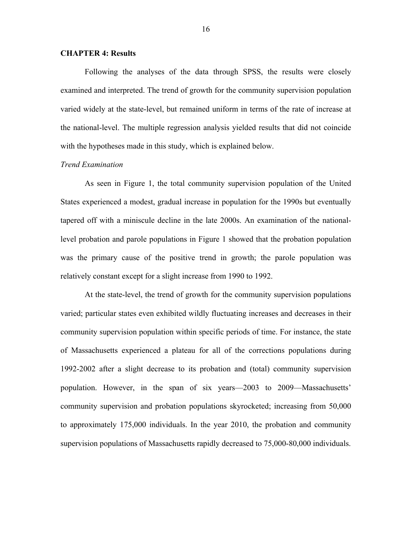#### **CHAPTER 4: Results**

Following the analyses of the data through SPSS, the results were closely examined and interpreted. The trend of growth for the community supervision population varied widely at the state-level, but remained uniform in terms of the rate of increase at the national-level. The multiple regression analysis yielded results that did not coincide with the hypotheses made in this study, which is explained below.

## *Trend Examination*

As seen in Figure 1, the total community supervision population of the United States experienced a modest, gradual increase in population for the 1990s but eventually tapered off with a miniscule decline in the late 2000s. An examination of the nationallevel probation and parole populations in Figure 1 showed that the probation population was the primary cause of the positive trend in growth; the parole population was relatively constant except for a slight increase from 1990 to 1992.

At the state-level, the trend of growth for the community supervision populations varied; particular states even exhibited wildly fluctuating increases and decreases in their community supervision population within specific periods of time. For instance, the state of Massachusetts experienced a plateau for all of the corrections populations during 1992-2002 after a slight decrease to its probation and (total) community supervision population. However, in the span of six years—2003 to 2009—Massachusetts' community supervision and probation populations skyrocketed; increasing from 50,000 to approximately 175,000 individuals. In the year 2010, the probation and community supervision populations of Massachusetts rapidly decreased to 75,000-80,000 individuals.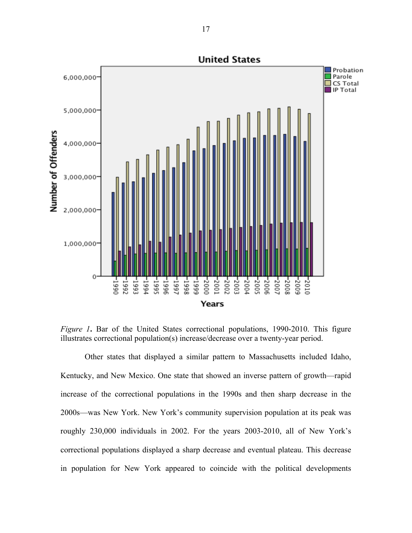

*Figure 1*. Bar of the United States correctional populations, 1990-2010. This figure illustrates correctional population(s) increase/decrease over a twenty-year period.

Other states that displayed a similar pattern to Massachusetts included Idaho, Kentucky, and New Mexico. One state that showed an inverse pattern of growth—rapid increase of the correctional populations in the 1990s and then sharp decrease in the 2000s—was New York. New York's community supervision population at its peak was roughly 230,000 individuals in 2002. For the years 2003-2010, all of New York's correctional populations displayed a sharp decrease and eventual plateau. This decrease in population for New York appeared to coincide with the political developments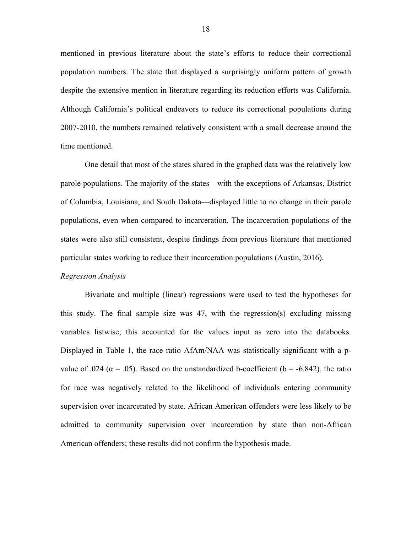mentioned in previous literature about the state's efforts to reduce their correctional population numbers. The state that displayed a surprisingly uniform pattern of growth despite the extensive mention in literature regarding its reduction efforts was California. Although California's political endeavors to reduce its correctional populations during 2007-2010, the numbers remained relatively consistent with a small decrease around the time mentioned.

One detail that most of the states shared in the graphed data was the relatively low parole populations. The majority of the states—with the exceptions of Arkansas, District of Columbia, Louisiana, and South Dakota—displayed little to no change in their parole populations, even when compared to incarceration. The incarceration populations of the states were also still consistent, despite findings from previous literature that mentioned particular states working to reduce their incarceration populations (Austin, 2016).

#### *Regression Analysis*

Bivariate and multiple (linear) regressions were used to test the hypotheses for this study. The final sample size was 47, with the regression(s) excluding missing variables listwise; this accounted for the values input as zero into the databooks. Displayed in Table 1, the race ratio AfAm/NAA was statistically significant with a pvalue of .024 ( $\alpha$  = .05). Based on the unstandardized b-coefficient ( $b$  = -6.842), the ratio for race was negatively related to the likelihood of individuals entering community supervision over incarcerated by state. African American offenders were less likely to be admitted to community supervision over incarceration by state than non-African American offenders; these results did not confirm the hypothesis made.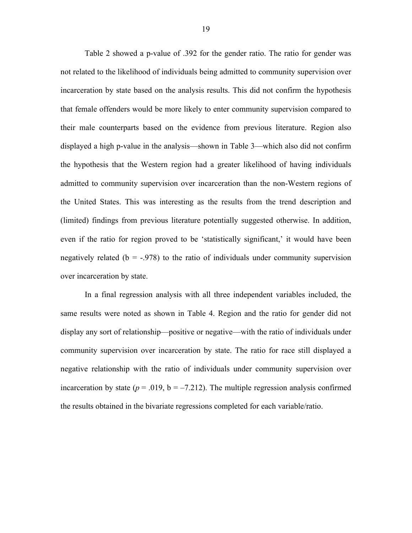Table 2 showed a p-value of .392 for the gender ratio. The ratio for gender was not related to the likelihood of individuals being admitted to community supervision over incarceration by state based on the analysis results. This did not confirm the hypothesis that female offenders would be more likely to enter community supervision compared to their male counterparts based on the evidence from previous literature. Region also displayed a high p-value in the analysis—shown in Table 3—which also did not confirm the hypothesis that the Western region had a greater likelihood of having individuals admitted to community supervision over incarceration than the non-Western regions of the United States. This was interesting as the results from the trend description and (limited) findings from previous literature potentially suggested otherwise. In addition, even if the ratio for region proved to be 'statistically significant,' it would have been negatively related ( $b = -0.978$ ) to the ratio of individuals under community supervision over incarceration by state.

In a final regression analysis with all three independent variables included, the same results were noted as shown in Table 4. Region and the ratio for gender did not display any sort of relationship—positive or negative—with the ratio of individuals under community supervision over incarceration by state. The ratio for race still displayed a negative relationship with the ratio of individuals under community supervision over incarceration by state  $(p = .019, b = -7.212)$ . The multiple regression analysis confirmed the results obtained in the bivariate regressions completed for each variable/ratio.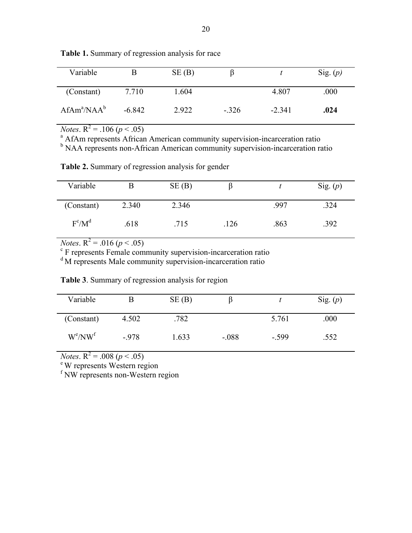| Variable       |          | SE(B) | B       |          | Sig. $(p)$ |
|----------------|----------|-------|---------|----------|------------|
| (Constant)     | 7.710    | 1.604 |         | 4.807    | .000       |
| $AfAm^a/NAA^b$ | $-6.842$ | 2.922 | $-.326$ | $-2.341$ | .024       |

**Table 1.** Summary of regression analysis for race

*Notes*.  $R^2 = .106$  ( $p < .05$ )<br><sup>a</sup> AfAm represents African American community supervision-incarceration ratio

b NAA represents non-African American community supervision-incarceration ratio

**Table 2.** Summary of regression analysis for gender

| Variable   |       | SE(B) |      |      | Sig. $(p)$ |
|------------|-------|-------|------|------|------------|
| (Constant) | 2.340 | 2.346 |      | .997 | .324       |
| $F^c/M^d$  | .618  | .715  | .126 | .863 | .392       |

*Notes*.  $R^2 = .016$  ( $p < .05$ )<br><sup>c</sup> F represents Female community supervision-incarceration ratio

<sup>d</sup>M represents Male community supervision-incarceration ratio

| Variable   |        | SE(B) | B       |         | Sig. $(p)$ |
|------------|--------|-------|---------|---------|------------|
| (Constant) | 4.502  | .782  |         | 5.761   | .000       |
| $W^e/NW^f$ | $-978$ | 1.633 | $-.088$ | $-.599$ | .552       |

**Table 3**. Summary of regression analysis for region

*Notes*.  $R^2$  = .008 (*p* < .05)<br>
<sup>e</sup> W represents Western region

<sup>f</sup> NW represents non-Western region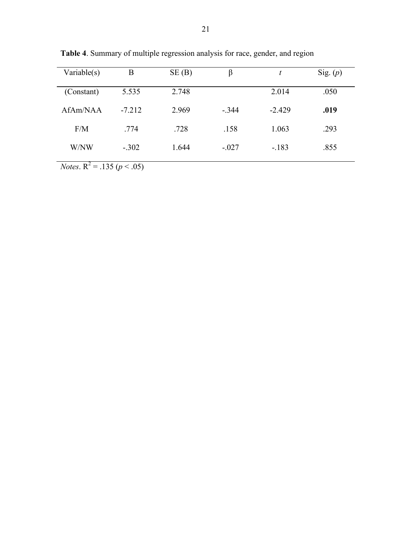| Variable $(s)$                   | B        | SE(B) | β       | t        | Sig. $(p)$ |
|----------------------------------|----------|-------|---------|----------|------------|
| (Constant)                       | 5.535    | 2.748 |         | 2.014    | .050       |
| AfAm/NAA                         | $-7.212$ | 2.969 | $-.344$ | $-2.429$ | .019       |
| F/M                              | .774     | .728  | .158    | 1.063    | .293       |
| W/NW                             | $-.302$  | 1.644 | $-.027$ | $-183$   | .855       |
| $\overline{\phantom{0}}$<br>$ -$ |          |       |         |          |            |

**Table 4**. Summary of multiple regression analysis for race, gender, and region

*Notes*.  $R^2 = .135 (p < .05)$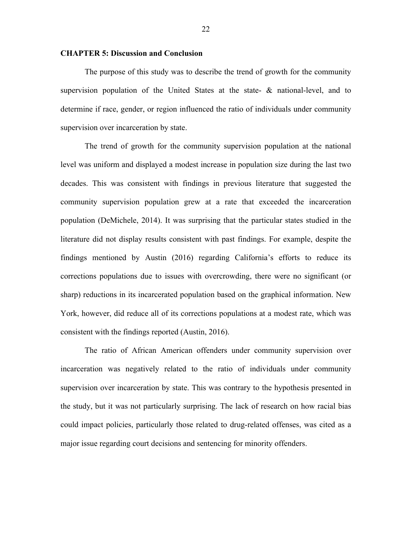#### **CHAPTER 5: Discussion and Conclusion**

The purpose of this study was to describe the trend of growth for the community supervision population of the United States at the state-  $\&$  national-level, and to determine if race, gender, or region influenced the ratio of individuals under community supervision over incarceration by state.

The trend of growth for the community supervision population at the national level was uniform and displayed a modest increase in population size during the last two decades. This was consistent with findings in previous literature that suggested the community supervision population grew at a rate that exceeded the incarceration population (DeMichele, 2014). It was surprising that the particular states studied in the literature did not display results consistent with past findings. For example, despite the findings mentioned by Austin (2016) regarding California's efforts to reduce its corrections populations due to issues with overcrowding, there were no significant (or sharp) reductions in its incarcerated population based on the graphical information. New York, however, did reduce all of its corrections populations at a modest rate, which was consistent with the findings reported (Austin, 2016).

The ratio of African American offenders under community supervision over incarceration was negatively related to the ratio of individuals under community supervision over incarceration by state. This was contrary to the hypothesis presented in the study, but it was not particularly surprising. The lack of research on how racial bias could impact policies, particularly those related to drug-related offenses, was cited as a major issue regarding court decisions and sentencing for minority offenders.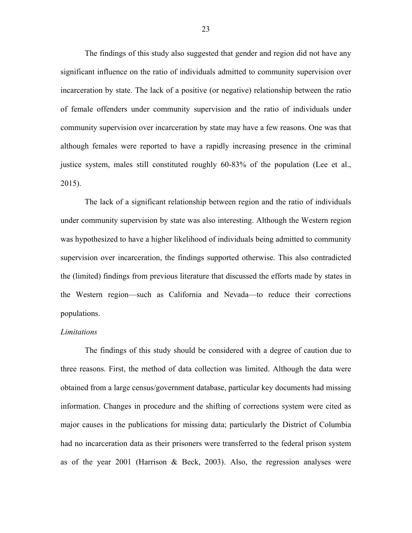The findings of this study also suggested that gender and region did not have any significant influence on the ratio of individuals admitted to community supervision over incarceration by state. The lack of a positive (or negative) relationship between the ratio of female offenders under community supervision and the ratio of individuals under community supervision over incarceration by state may have a few reasons. One was that although females were reported to have a rapidly increasing presence in the criminal justice system, males still constituted roughly 60-83% of the population (Lee et al., 2015).

The lack of a significant relationship between region and the ratio of individuals under community supervision by state was also interesting. Although the Western region was hypothesized to have a higher likelihood of individuals being admitted to community supervision over incarceration, the findings supported otherwise. This also contradicted the (limited) findings from previous literature that discussed the efforts made by states in the Western region—such as California and Nevada—to reduce their corrections populations.

#### *Limitations*

The findings of this study should be considered with a degree of caution due to three reasons. First, the method of data collection was limited. Although the data were obtained from a large census/government database, particular key documents had missing information. Changes in procedure and the shifting of corrections system were cited as major causes in the publications for missing data; particularly the District of Columbia had no incarceration data as their prisoners were transferred to the federal prison system as of the year 2001 (Harrison & Beck, 2003). Also, the regression analyses were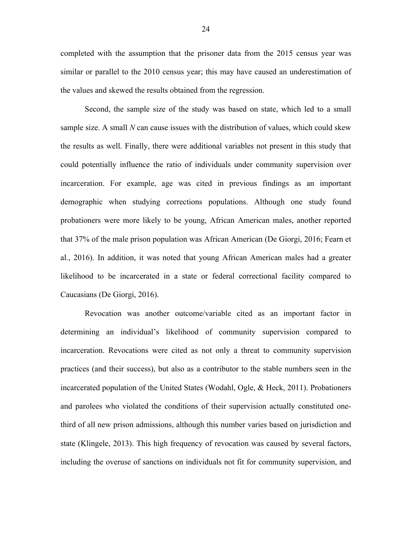completed with the assumption that the prisoner data from the 2015 census year was similar or parallel to the 2010 census year; this may have caused an underestimation of the values and skewed the results obtained from the regression.

Second, the sample size of the study was based on state, which led to a small sample size. A small *N* can cause issues with the distribution of values, which could skew the results as well. Finally, there were additional variables not present in this study that could potentially influence the ratio of individuals under community supervision over incarceration. For example, age was cited in previous findings as an important demographic when studying corrections populations. Although one study found probationers were more likely to be young, African American males, another reported that 37% of the male prison population was African American (De Giorgi, 2016; Fearn et al., 2016). In addition, it was noted that young African American males had a greater likelihood to be incarcerated in a state or federal correctional facility compared to Caucasians (De Giorgi, 2016).

Revocation was another outcome/variable cited as an important factor in determining an individual's likelihood of community supervision compared to incarceration. Revocations were cited as not only a threat to community supervision practices (and their success), but also as a contributor to the stable numbers seen in the incarcerated population of the United States (Wodahl, Ogle, & Heck, 2011). Probationers and parolees who violated the conditions of their supervision actually constituted onethird of all new prison admissions, although this number varies based on jurisdiction and state (Klingele, 2013). This high frequency of revocation was caused by several factors, including the overuse of sanctions on individuals not fit for community supervision, and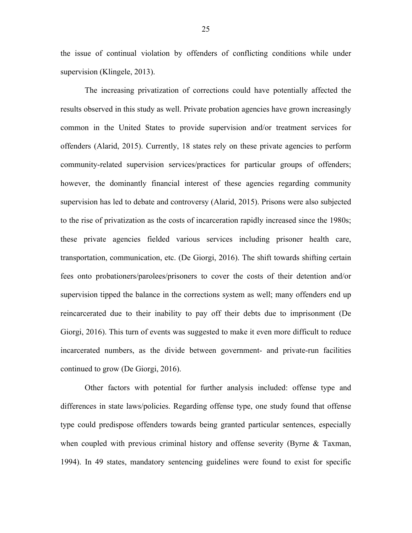the issue of continual violation by offenders of conflicting conditions while under supervision (Klingele, 2013).

The increasing privatization of corrections could have potentially affected the results observed in this study as well. Private probation agencies have grown increasingly common in the United States to provide supervision and/or treatment services for offenders (Alarid, 2015). Currently, 18 states rely on these private agencies to perform community-related supervision services/practices for particular groups of offenders; however, the dominantly financial interest of these agencies regarding community supervision has led to debate and controversy (Alarid, 2015). Prisons were also subjected to the rise of privatization as the costs of incarceration rapidly increased since the 1980s; these private agencies fielded various services including prisoner health care, transportation, communication, etc. (De Giorgi, 2016). The shift towards shifting certain fees onto probationers/parolees/prisoners to cover the costs of their detention and/or supervision tipped the balance in the corrections system as well; many offenders end up reincarcerated due to their inability to pay off their debts due to imprisonment (De Giorgi, 2016). This turn of events was suggested to make it even more difficult to reduce incarcerated numbers, as the divide between government- and private-run facilities continued to grow (De Giorgi, 2016).

Other factors with potential for further analysis included: offense type and differences in state laws/policies. Regarding offense type, one study found that offense type could predispose offenders towards being granted particular sentences, especially when coupled with previous criminal history and offense severity (Byrne  $\&$  Taxman, 1994). In 49 states, mandatory sentencing guidelines were found to exist for specific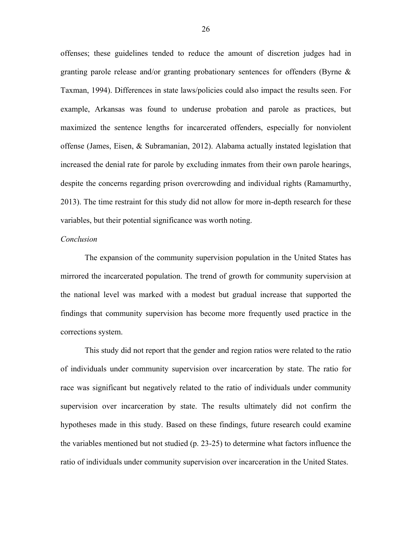offenses; these guidelines tended to reduce the amount of discretion judges had in granting parole release and/or granting probationary sentences for offenders (Byrne & Taxman, 1994). Differences in state laws/policies could also impact the results seen. For example, Arkansas was found to underuse probation and parole as practices, but maximized the sentence lengths for incarcerated offenders, especially for nonviolent offense (James, Eisen, & Subramanian, 2012). Alabama actually instated legislation that increased the denial rate for parole by excluding inmates from their own parole hearings, despite the concerns regarding prison overcrowding and individual rights (Ramamurthy, 2013). The time restraint for this study did not allow for more in-depth research for these variables, but their potential significance was worth noting.

#### *Conclusion*

The expansion of the community supervision population in the United States has mirrored the incarcerated population. The trend of growth for community supervision at the national level was marked with a modest but gradual increase that supported the findings that community supervision has become more frequently used practice in the corrections system.

This study did not report that the gender and region ratios were related to the ratio of individuals under community supervision over incarceration by state. The ratio for race was significant but negatively related to the ratio of individuals under community supervision over incarceration by state. The results ultimately did not confirm the hypotheses made in this study. Based on these findings, future research could examine the variables mentioned but not studied (p. 23-25) to determine what factors influence the ratio of individuals under community supervision over incarceration in the United States.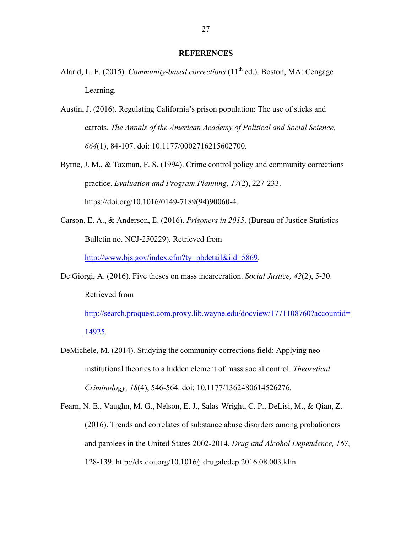#### **REFERENCES**

- Alarid, L. F. (2015). *Community-based corrections* (11<sup>th</sup> ed.). Boston, MA: Cengage Learning.
- Austin, J. (2016). Regulating California's prison population: The use of sticks and carrots. *The Annals of the American Academy of Political and Social Science, 664*(1), 84-107. doi: 10.1177/0002716215602700.
- Byrne, J. M., & Taxman, F. S. (1994). Crime control policy and community corrections practice. *Evaluation and Program Planning, 17*(2), 227-233. https://doi.org/10.1016/0149-7189(94)90060-4.
- Carson, E. A., & Anderson, E. (2016). *Prisoners in 2015*. (Bureau of Justice Statistics Bulletin no. NCJ-250229). Retrieved from http://www.bjs.gov/index.cfm?ty=pbdetail&iid=5869.
- De Giorgi, A. (2016). Five theses on mass incarceration. *Social Justice, 42*(2), 5-30. Retrieved from

http://search.proquest.com.proxy.lib.wayne.edu/docview/1771108760?accountid= 14925.

- DeMichele, M. (2014). Studying the community corrections field: Applying neoinstitutional theories to a hidden element of mass social control. *Theoretical Criminology, 18*(4), 546-564. doi: 10.1177/1362480614526276.
- Fearn, N. E., Vaughn, M. G., Nelson, E. J., Salas-Wright, C. P., DeLisi, M., & Qian, Z. (2016). Trends and correlates of substance abuse disorders among probationers and parolees in the United States 2002-2014. *Drug and Alcohol Dependence, 167*, 128-139. http://dx.doi.org/10.1016/j.drugalcdep.2016.08.003.klin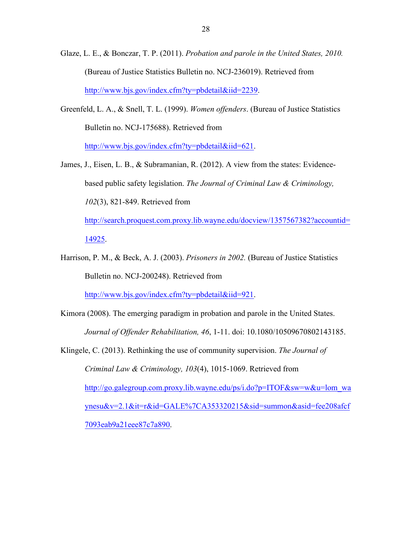- Glaze, L. E., & Bonczar, T. P. (2011). *Probation and parole in the United States, 2010.* (Bureau of Justice Statistics Bulletin no. NCJ-236019). Retrieved from http://www.bjs.gov/index.cfm?ty=pbdetail&iid=2239.
- Greenfeld, L. A., & Snell, T. L. (1999). *Women offenders*. (Bureau of Justice Statistics Bulletin no. NCJ-175688). Retrieved from http://www.bjs.gov/index.cfm?ty=pbdetail&iid=621.
- James, J., Eisen, L. B., & Subramanian, R. (2012). A view from the states: Evidencebased public safety legislation. *The Journal of Criminal Law & Criminology, 102*(3), 821-849. Retrieved from

http://search.proquest.com.proxy.lib.wayne.edu/docview/1357567382?accountid= 14925.

Harrison, P. M., & Beck, A. J. (2003). *Prisoners in 2002.* (Bureau of Justice Statistics Bulletin no. NCJ-200248). Retrieved from

http://www.bjs.gov/index.cfm?ty=pbdetail&iid=921.

- Kimora (2008). The emerging paradigm in probation and parole in the United States. *Journal of Offender Rehabilitation, 46*, 1-11. doi: 10.1080/10509670802143185.
- Klingele, C. (2013). Rethinking the use of community supervision. *The Journal of Criminal Law & Criminology, 103*(4), 1015-1069. Retrieved from http://go.galegroup.com.proxy.lib.wayne.edu/ps/i.do?p=ITOF&sw=w&u=lom\_wa ynesu&v=2.1&it=r&id=GALE%7CA353320215&sid=summon&asid=fee208afcf 7093eab9a21eee87c7a890.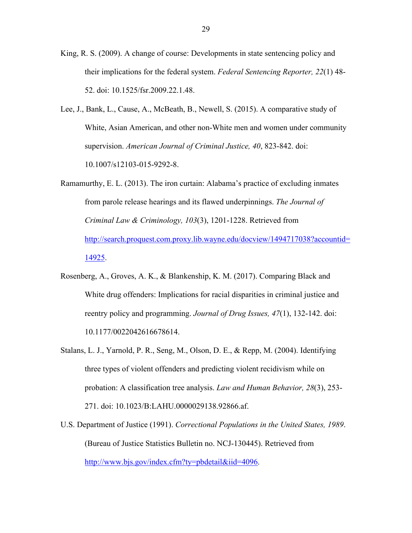King, R. S. (2009). A change of course: Developments in state sentencing policy and their implications for the federal system. *Federal Sentencing Reporter, 22*(1) 48- 52. doi: 10.1525/fsr.2009.22.1.48.

- Lee, J., Bank, L., Cause, A., McBeath, B., Newell, S. (2015). A comparative study of White, Asian American, and other non-White men and women under community supervision. *American Journal of Criminal Justice, 40*, 823-842. doi: 10.1007/s12103-015-9292-8.
- Ramamurthy, E. L. (2013). The iron curtain: Alabama's practice of excluding inmates from parole release hearings and its flawed underpinnings. *The Journal of Criminal Law & Criminology, 103*(3), 1201-1228. Retrieved from http://search.proquest.com.proxy.lib.wayne.edu/docview/1494717038?accountid= 14925.
- Rosenberg, A., Groves, A. K., & Blankenship, K. M. (2017). Comparing Black and White drug offenders: Implications for racial disparities in criminal justice and reentry policy and programming. *Journal of Drug Issues, 47*(1), 132-142. doi: 10.1177/0022042616678614.
- Stalans, L. J., Yarnold, P. R., Seng, M., Olson, D. E., & Repp, M. (2004). Identifying three types of violent offenders and predicting violent recidivism while on probation: A classification tree analysis. *Law and Human Behavior, 28*(3), 253- 271. doi: 10.1023/B:LAHU.0000029138.92866.af.
- U.S. Department of Justice (1991). *Correctional Populations in the United States, 1989*. (Bureau of Justice Statistics Bulletin no. NCJ-130445). Retrieved from http://www.bjs.gov/index.cfm?ty=pbdetail&iid=4096.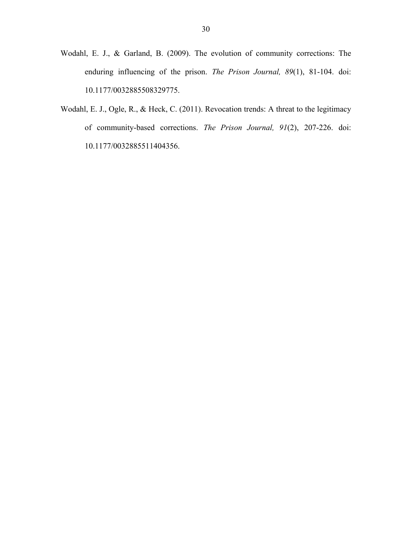- Wodahl, E. J., & Garland, B. (2009). The evolution of community corrections: The enduring influencing of the prison. *The Prison Journal, 89*(1), 81-104. doi: 10.1177/0032885508329775.
- Wodahl, E. J., Ogle, R., & Heck, C. (2011). Revocation trends: A threat to the legitimacy of community-based corrections. *The Prison Journal, 91*(2), 207-226. doi: 10.1177/0032885511404356.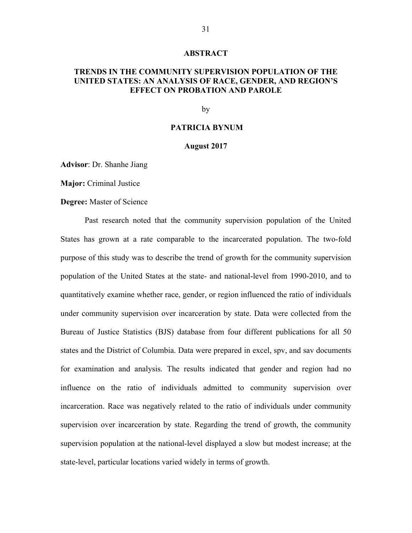#### **ABSTRACT**

# **TRENDS IN THE COMMUNITY SUPERVISION POPULATION OF THE UNITED STATES: AN ANALYSIS OF RACE, GENDER, AND REGION'S EFFECT ON PROBATION AND PAROLE**

#### by

## **PATRICIA BYNUM**

#### **August 2017**

**Advisor**: Dr. Shanhe Jiang

**Major:** Criminal Justice

**Degree:** Master of Science

Past research noted that the community supervision population of the United States has grown at a rate comparable to the incarcerated population. The two-fold purpose of this study was to describe the trend of growth for the community supervision population of the United States at the state- and national-level from 1990-2010, and to quantitatively examine whether race, gender, or region influenced the ratio of individuals under community supervision over incarceration by state. Data were collected from the Bureau of Justice Statistics (BJS) database from four different publications for all 50 states and the District of Columbia. Data were prepared in excel, spv, and sav documents for examination and analysis. The results indicated that gender and region had no influence on the ratio of individuals admitted to community supervision over incarceration. Race was negatively related to the ratio of individuals under community supervision over incarceration by state. Regarding the trend of growth, the community supervision population at the national-level displayed a slow but modest increase; at the state-level, particular locations varied widely in terms of growth.